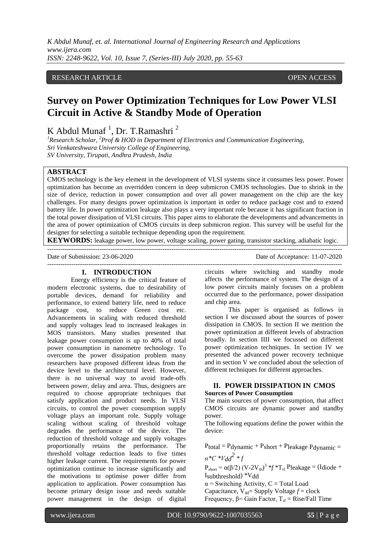# RESEARCH ARTICLE **CONSERVERS** OPEN ACCESS

# **Survey on Power Optimization Techniques for Low Power VLSI Circuit in Active & Standby Mode of Operation**

K Abdul Munaf<sup>1</sup>, Dr. T.Ramashri<sup>2</sup>

*<sup>1</sup>Research Scholar, <sup>2</sup>Prof & HOD in Department of Electronics and Communication Engineering, Sri Venkateshwara University College of Engineering, SV University, Tirupati, Andhra Pradesh, India*

# **ABSTRACT**

CMOS technology is the key element in the development of VLSI systems since it consumes less power. Power optimization has become an overridden concern in deep submicron CMOS technologies. Due to shrink in the size of device, reduction in power consumption and over all power management on the chip are the key challenges. For many designs power optimization is important in order to reduce package cost and to extend battery life. In power optimization leakage also plays a very important role because it has significant fraction in the total power dissipation of VLSI circuits. This paper aims to elaborate the developments and advancements in the area of power optimization of CMOS circuits in deep submicron region. This survey will be useful for the designer for selecting a suitable technique depending upon the requirement.

**KEYWORDS:** leakage power, low power, voltage scaling, power gating, transistor stacking, adiabatic logic. ---------------------------------------------------------------------------------------------------------------------------------------

Date of Submission: 23-06-2020 Date of Acceptance: 11-07-2020

#### ---------------------------------------------------------------------------------------------------------------------------------------

## **I. INTRODUCTION**

Energy efficiency is the critical feature of modern electronic systems, due to desirability of portable devices, demand for reliability and performance, to extend battery life, need to reduce package cost, to reduce Green cost etc. Advancements in scaling with reduced threshold and supply voltages lead to increased leakages in MOS transistors. Many studies presented that leakage power consumption is up to 40% of total power consumption in nanometre technology. To overcome the power dissipation problem many researchers have proposed different ideas from the device level to the architectural level. However, there is no universal way to avoid trade-offs between power, delay and area. Thus, designers are required to choose appropriate techniques that satisfy application and product needs. In VLSI circuits, to control the power consumption supply voltage plays an important role. Supply voltage scaling without scaling of threshold voltage degrades the performance of the device. The reduction of threshold voltage and supply voltages proportionally retains the performance. The threshold voltage reduction leads to five times higher leakage current. The requirements for power optimization continue to increase significantly and the motivations to optimise power differ from application to application. Power consumption has become primary design issue and needs suitable power management in the design of digital circuits where switching and standby mode affects the performance of system. The design of a low power circuits mainly focuses on a problem occurred due to the performance, power dissipation and chip area.

This paper is organised as follows in section I we discussed about the sources of power dissipation in CMOS. In section II we mention the power optimization at different levels of abstraction broadly. In section IIII we focussed on different power optimization techniques. In section IV we presented the advanced power recovery technique and in section V we concluded about the selection of different techniques for different approaches.

# **II. POWER DISSIPATION IN CMOS Sources of Power Consumption**

The main sources of power consumption, that affect CMOS circuits are dynamic power and standby power.

The following equations define the power within the device:

 $P_{total} = P_{dynamic} + P_{short} + P_{leakage} P_{dynamic} =$  $a^*C^*Vdd^2 * f$ 

 $P_{short} = \alpha(\beta/2) (V - 2V_{th})^3 * f *T_{rf} P$ leakage = (Idiode + Isubthreshold) \*Vdd

 $\alpha$  = Switching Activity, C = Total Load Capacitance,  $V_{dd}$  Supply Voltage  $f$  = clock

Frequency,  $β = Gain Factor$ ,  $T_f = Rise/Fall Time$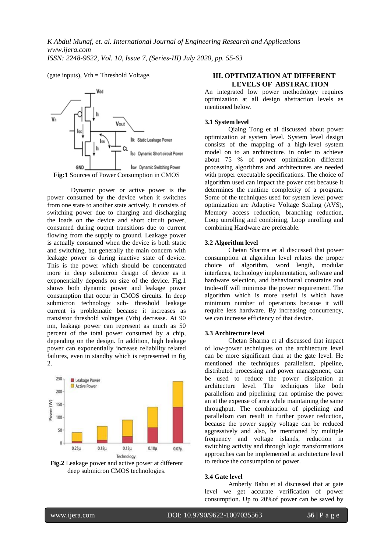(gate inputs),  $Vth = Threshold Voltage$ .



Dynamic power or active power is the power consumed by the device when it switches from one state to another state actively. It consists of switching power due to charging and discharging the loads on the device and short circuit power, consumed during output transitions due to current flowing from the supply to ground. Leakage power is actually consumed when the device is both static and switching, but generally the main concern with leakage power is during inactive state of device. This is the power which should be concentrated more in deep submicron design of device as it exponentially depends on size of the device. Fig.1 shows both dynamic power and leakage power consumption that occur in CMOS circuits. In deep submicron technology sub- threshold leakage current is problematic because it increases as transistor threshold voltages (Vth) decrease. At 90 nm, leakage power can represent as much as 50 percent of the total power consumed by a chip, depending on the design. In addition, high leakage power can exponentially increase reliability related failures, even in standby which is represented in fig 2.



**Fig.2** Leakage power and active power at different deep submicron CMOS technologies.

# **III. OPTIMIZATION AT DIFFERENT LEVELS OF ABSTRACTION**

An integrated low power methodology requires optimization at all design abstraction levels as mentioned below.

### **3.1 System level**

Qiaing Tong et al discussed about power optimization at system level. System level design consists of the mapping of a high-level system model on to an architecture. in order to achieve about 75 % of power optimization different processing algorithms and architectures are needed with proper executable specifications. The choice of algorithm used can impact the power cost because it determines the runtime complexity of a program. Some of the techniques used for system level power optimization are Adaptive Voltage Scaling (AVS), Memory access reduction, branching reduction, Loop unrolling and combining, Loop unrolling and combining Hardware are preferable.

## **3.2 Algorithm level**

Chetan Sharma et al discussed that power consumption at algorithm level relates the proper choice of algorithm, word length, modular interfaces, technology implementation, software and hardware selection, and behavioural constrains and trade-off will minimise the power requirement. The algorithm which is more useful is which have minimum number of operations because it will require less hardware. By increasing concurrency, we can increase efficiency of that device.

## **3.3 Architecture level**

Chetan Sharma et al discussed that impact of low-power techniques on the architecture level can be more significant than at the gate level. He mentioned the techniques parallelism, pipeline, distributed processing and power management, can be used to reduce the power dissipation at architecture level. The techniques like both parallelism and pipelining can optimise the power an at the expense of area while maintaining the same throughput. The combination of pipelining and parallelism can result in further power reduction, because the power supply voltage can be reduced aggressively and also, he mentioned by multiple frequency and voltage islands, reduction in switching activity and through logic transformations approaches can be implemented at architecture level to reduce the consumption of power.

#### **3.4 Gate level**

Amberly Babu et al discussed that at gate level we get accurate verification of power consumption. Up to 20%of power can be saved by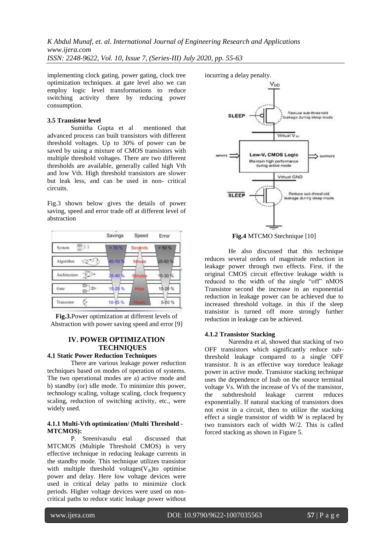implementing clock gating, power gating, clock tree optimization techniques. at gate level also we can employ logic level transformations to reduce switching activity there by reducing power consumption.

#### **3.5 Transistor level**

Sumitha Gupta et al mentioned that advanced process can built transistors with different threshold voltages. Up to 30% of power can be saved by using a mixture of CMOS transistors with multiple threshold voltages. There are two different thresholds are available, generally called high Vth and low Vth. High threshold transistors are slower but leak less, and can be used in non- critical circuits.

Fig.3 shown below gives the details of power saving, speed and error trade off at different level of abstraction



**Fig.3.**Power optimization at different levels of Abstraction with power saving speed and error [9]

## **IV. POWER OPTIMIZATION TECHNIQUES**

# **4.1 Static Power Reduction Techniques**

There are various leakage power reduction techniques based on modes of operation of systems. The two operational modes are a) active mode and b) standby (or) idle mode. To minimize this power, technology scaling, voltage scaling, clock frequency scaling, reduction of switching activity, etc., were widely used.

#### **4.1.1 Multi-Vth optimization/ (Multi Threshold - MTCMOS):**

P. Sreenivasulu etal discussed that MTCMOS (Multiple Threshold CMOS) is very effective technique in reducing leakage currents in the standby mode. This technique utilizes transistor with multiple threshold voltages $(V<sub>th</sub>)$ to optimise power and delay. Here low voltage devices were used in critical delay paths to minimize clock periods. Higher voltage devices were used on noncritical paths to reduce static leakage power without incurring a delay penalty.



**Fig.4** MTCMO Stechnique [10]

He also discussed that this technique reduces several orders of magnitude reduction in leakage power through two effects. First. if the original CMOS circuit effective leakage width is reduced to the width of the single "off" nMOS Transistor second the increase in an exponential reduction in leakage power can be achieved due to increased threshold voltage. in this if the sleep transistor is turned off more strongly further reduction in leakage can be achieved.

#### **4.1.2 Transistor Stacking**

Narendra et al, showed that stacking of two OFF transistors which significantly reduce subthreshold leakage compared to a single OFF transistor. It is an effective way toreduce leakage power in active mode. Transistor stacking technique uses the dependence of Isub on the source terminal voltage Vs. With the increase of Vs of the transistor, the subthreshold leakage current reduces exponentially. If natural stacking of transistors does not exist in a circuit, then to utilize the stacking effect a single transistor of width W is replaced by two transistors each of width W/2. This is called forced stacking as shown in Figure 5.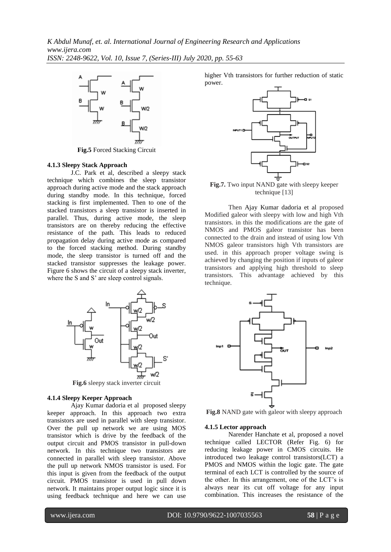

**Fig.5** Forced Stacking Circuit

#### **4.1.3 Sleepy Stack Approach**

J.C. Park et al, described a sleepy stack technique which combines the sleep transistor approach during active mode and the stack approach during standby mode. In this technique, forced stacking is first implemented. Then to one of the stacked transistors a sleep transistor is inserted in parallel. Thus, during active mode, the sleep transistors are on thereby reducing the effective resistance of the path. This leads to reduced propagation delay during active mode as compared to the forced stacking method. During standby mode, the sleep transistor is turned off and the stacked transistor suppresses the leakage power. Figure 6 shows the circuit of a sleepy stack inverter, where the S and S' are sleep control signals.



**Fig.6** sleepy stack inverter circuit

#### **4.1.4 Sleepy Keeper Approach**

Ajay Kumar dadoria et al proposed sleepy keeper approach. In this approach two extra transistors are used in parallel with sleep transistor. Over the pull up network we are using MOS transistor which is drive by the feedback of the output circuit and PMOS transistor in pull-down network. In this technique two transistors are connected in parallel with sleep transistor. Above the pull up network NMOS transistor is used. For this input is given from the feedback of the output circuit. PMOS transistor is used in pull down network. It maintains proper output logic since it is using feedback technique and here we can use

higher Vth transistors for further reduction of static power.



**Fig.7.** Two input NAND gate with sleepy keeper technique [13]

Then Ajay Kumar dadoria et al proposed Modified galeor with sleepy with low and high Vth transistors. in this the modifications are the gate of NMOS and PMOS galeor transistor has been connected to the drain and instead of using low Vth NMOS galeor transistors high Vth transistors are used. in this approach proper voltage swing is achieved by changing the position if inputs of galeor transistors and applying high threshold to sleep transistors. This advantage achieved by this technique.



**Fig.8** NAND gate with galeor with sleepy approach

#### **4.1.5 Lector approach**

Narender Hanchate et al, proposed a novel technique called LECTOR (Refer Fig. 6) for reducing leakage power in CMOS circuits. He introduced two leakage control transistors(LCT) a PMOS and NMOS within the logic gate. The gate terminal of each LCT is controlled by the source of the other. In this arrangement, one of the LCT"s is always near its cut off voltage for any input combination. This increases the resistance of the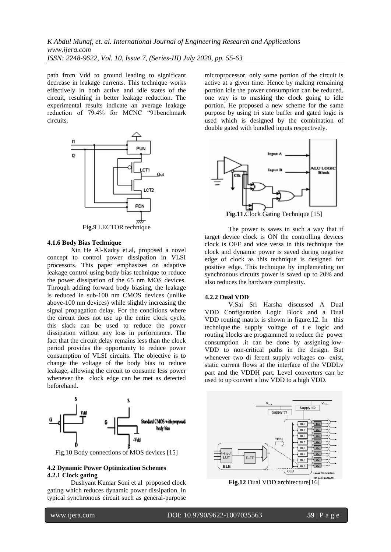path from Vdd to ground leading to significant decrease in leakage currents. This technique works effectively in both active and idle states of the circuit, resulting in better leakage reduction. The experimental results indicate an average leakage reduction of 79.4% for MCNC "91benchmark circuits.



**Fig.9** LECTOR technique

## **4.1.6 Body Bias Technique**

Xin He Al-Kadry et.al, proposed a novel concept to control power dissipation in VLSI processors. This paper emphasizes on adaptive leakage control using body bias technique to reduce the power dissipation of the 65 nm MOS devices. Through adding forward body biasing, the leakage is reduced in sub-100 nm CMOS devices (unlike above-100 nm devices) while slightly increasing the signal propagation delay. For the conditions where the circuit does not use up the entire clock cycle, this slack can be used to reduce the power dissipation without any loss in performance. The fact that the circuit delay remains less than the clock period provides the opportunity to reduce power consumption of VLSI circuits. The objective is to change the voltage of the body bias to reduce leakage, allowing the circuit to consume less power whenever the clock edge can be met as detected beforehand.



Fig.10 Body connections of MOS devices [15]

#### **4.2 Dynamic Power Optimization Schemes 4.2.1 Clock gating**

Dushyant Kumar Soni et al proposed clock gating which reduces dynamic power dissipation. in typical synchronous circuit such as general-purpose microprocessor, only some portion of the circuit is active at a given time. Hence by making remaining portion idle the power consumption can be reduced. one way is to masking the clock going to idle portion. He proposed a new scheme for the same purpose by using tri state buffer and gated logic is used which is designed by the combination of double gated with bundled inputs respectively.



The power is saves in such a way that if target device clock is ON the controlling devices clock is OFF and vice versa in this technique the clock and dynamic power is saved during negative edge of clock as this technique is designed for positive edge. This technique by implementing on synchronous circuits power is saved up to 20% and also reduces the hardware complexity.

#### **4.2.2 Dual VDD**

V.Sai Sri Harsha discussed A Dual VDD Configuration Logic Block and a Dual VDD routing matrix is shown in figure.12. In this technique the supply voltage of t e logic and routing blocks are programmed to reduce the power consumption .it can be done by assigning low-VDD to non-critical paths in the design. But whenever two di ferent supply voltages co- exist, static current flows at the interface of the VDDLv part and the VDDH part. Level converters can be used to up convert a low VDD to a high VDD.



**Fig.12** Dual VDD architecture[16]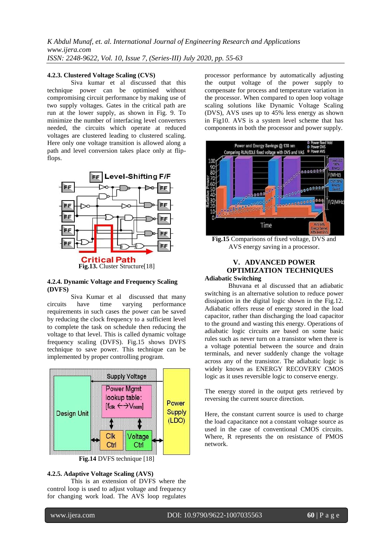### **4.2.3. Clustered Voltage Scaling (CVS)**

Siva kumar et al discussed that this technique power can be optimised without compromising circuit performance by making use of two supply voltages. Gates in the critical path are run at the lower supply, as shown in Fig. 9. To minimize the number of interfacing level converters needed, the circuits which operate at reduced voltages are clustered leading to clustered scaling. Here only one voltage transition is allowed along a path and level conversion takes place only at flipflops.



#### **4.2.4. Dynamic Voltage and Frequency Scaling (DVFS)**

Siva Kumar et al discussed that many circuits have time varying performance requirements in such cases the power can be saved by reducing the clock frequency to a sufficient level to complete the task on schedule then reducing the voltage to that level. This is called dynamic voltage frequency scaling (DVFS). Fig.15 shows DVFS technique to save power. This technique can be implemented by proper controlling program.



#### **4.2.5. Adaptive Voltage Scaling (AVS)**

This is an extension of DVFS where the control loop is used to adjust voltage and frequency for changing work load. The AVS loop regulates processor performance by automatically adjusting the output voltage of the power supply to compensate for process and temperature variation in the processor. When compared to open loop voltage scaling solutions like Dynamic Voltage Scaling (DVS), AVS uses up to 45% less energy as shown in Fig10. AVS is a system level scheme that has components in both the processor and power supply.



**Fig.15** Comparisons of fixed voltage, DVS and AVS energy saving in a processor.

## **V. ADVANCED POWER OPTIMIZATION TECHNIQUES Adiabatic Switching**

Bhuvana et al discussed that an adiabatic switching is an alternative solution to reduce power dissipation in the digital logic shown in the Fig.12. Adiabatic offers reuse of energy stored in the load capacitor, rather than discharging the load capacitor to the ground and wasting this energy. Operations of adiabatic logic circuits are based on some basic rules such as never turn on a transistor when there is a voltage potential between the source and drain terminals, and never suddenly change the voltage across any of the transistor. The adiabatic logic is widely known as ENERGY RECOVERY CMOS logic as it uses reversible logic to conserve energy.

The energy stored in the output gets retrieved by reversing the current source direction.

Here, the constant current source is used to charge the load capacitance not a constant voltage source as used in the case of conventional CMOS circuits. Where, R represents the on resistance of PMOS network.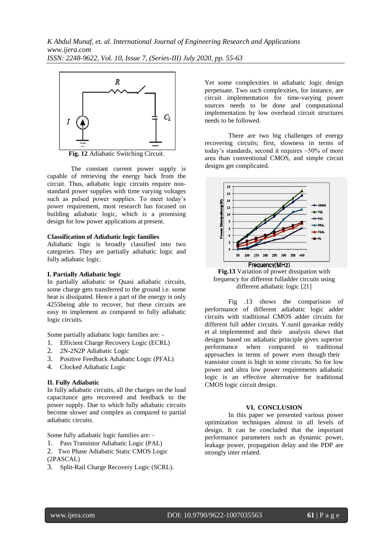

**Fig. 12** Adiabatic Switching Circuit.

The constant current power supply is capable of retrieving the energy back from the circuit. Thus, adiabatic logic circuits require nonstandard power supplies with time varying voltages such as pulsed power supplies. To meet today's power requirement, most research has focused on building adiabatic logic, which is a promising design for low power applications at present.

### **Classification of Adiabatic logic families**

Adiabatic logic is broadly classified into two categories. They are partially adiabatic logic and fully adiabatic logic.

## **I. Partially Adiabatic logic**

In partially adiabatic or Quasi adiabatic circuits, some charge gets transferred to the ground i.e. some heat is dissipated. Hence a part of the energy is only 4255being able to recover, but these circuits are easy to implement as compared to fully adiabatic logic circuits.

Some partially adiabatic logic families are: -

- 1. Efficient Charge Recovery Logic (ECRL)
- 2. 2N-2N2P Adiabatic Logic
- 3. Positive Feedback Adiabatic Logic (PFAL)
- 4. Clocked Adiabatic Logic

## **II. Fully Adiabatic**

In fully adiabatic circuits, all the charges on the load capacitance gets recovered and feedback to the power supply. Due to which fully adiabatic circuits become slower and complex as compared to partial adiabatic circuits.

Some fully adiabatic logic families are: -

- 1. Pass Transistor Adiabatic Logic (PAL)
- 2. Two Phase Adiabatic Static CMOS Logic
- (2PASCAL)
- 3. Split-Rail Charge Recovery Logic (SCRL).

Yet some complexities in adiabatic logic design perpetuate. Two such complexities, for instance, are circuit implementation for time-varying power sources needs to be done and computational implementation by low overhead circuit structures needs to be followed.

There are two big challenges of energy recovering circuits; first, slowness in terms of today's standards, second it requires  $\sim$  50% of more area than conventional CMOS, and simple circuit designs get complicated.





Fig .13 shows the comparision of performance of different adiabatic logic adder circuits with traditional CMOS adder circuits for different full adder circuits. Y.sunil gavaskar reddy et al implemented and their analysis shows that designs based on adiabatic principle gives superior performance when compared to traditional approaches in terms of power even though their transistor count is high in some circuits. So for low power and ultra low power requirements adiabatic logic is an effective alternative for traditional CMOS logic circuit design.

## **VI. CONCLUSION**

In this paper we presented various power optimization techniques almost in all levels of design. It can be concluded that the important performance parameters such as dynamic power, leakage power, propagation delay and the PDP are strongly inter related.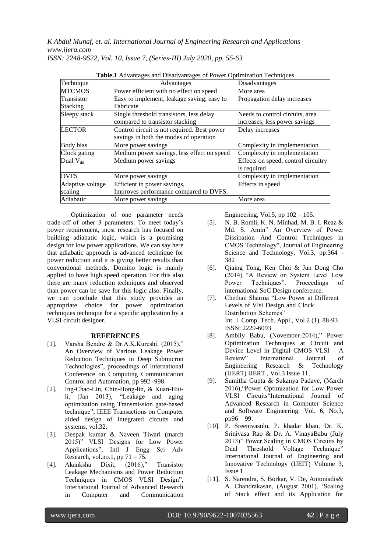| Table.1 Advantages and Disadvantages of Power Optimization Techniques |                                             |                                     |
|-----------------------------------------------------------------------|---------------------------------------------|-------------------------------------|
| Technique                                                             | Advantages                                  | Disadvantages                       |
| <b>MTCMOS</b>                                                         | Power efficient with no effect on speed     | More area                           |
| Transistor                                                            | Easy to implement, leakage saving, easy to  | Propagation delay increases         |
| <b>Stacking</b>                                                       | Fabricate                                   |                                     |
| Sleepy stack                                                          | Single threshold transistors, less delay    | Needs to control circuits, area     |
|                                                                       | compared to transistor stacking             | increases, less power savings       |
| <b>LECTOR</b>                                                         | Control circuit is not required. Best power | Delay increases                     |
|                                                                       | savings in both the modes of operation      |                                     |
| Body bias                                                             | More power savings                          | Complexity in implementation        |
| Clock gating                                                          | Medium power savings, less effect on speed  | Complexity in implementation        |
| Dual $V_{dd}$                                                         | Medium power savings                        | Effects on speed, control circuitry |
|                                                                       |                                             | is required                         |
| <b>DVFS</b>                                                           | More power savings                          | Complexity in implementation        |
| Adaptive voltage                                                      | Efficient in power savings,                 | Effects in speed                    |
| scaling                                                               | Improves performance compared to DVFS.      |                                     |
| Adiabatic                                                             | More power savings                          | More area                           |

Optimization of one parameter needs trade-off of other 3 parameters. To meet today"s power requirement, most research has focused on building adiabatic logic, which is a promising design for low power applications. We can say here that adiabatic approach is advanced technique for power reduction and it is giving better results than conventional methods. Domino logic is mainly applied to have high speed operation. For this also there are many reduction techniques and observed than power can be save for this logic also. Finally, we can conclude that this study provides an appropriate choice for power optimization techniques technique for a specific application by a VLSI circuit designer.

#### **REFERENCES**

- [1]. Varsha Bendre & Dr.A.K.Kureshi, (2015)," An Overview of Various Leakage Power Reduction Techniques in Deep Submicron Technologies", proceedings of International Conference on Computing Communication Control and Automation, pp 992 -998.
- [2]. Ing-Chao-Lin, Chin-Hong-lin, & Kuan-Huili, (Jan 2013), "Leakage and aging optimization using Transmission gate-based technique", IEEE Transactions on Computer aided design of integrated circuits and systems, vol.32.
- [3]. Deepak kumar & Naveen Tiwari (march 2015)" VLSI Designs for Low Power Applications", Intl J Engg Sci Adv Research, vol.no.1, pp  $71 - 75$ .
- [4]. Akanksha Dixit, (2016)," Transistor Leakage Mechanisms and Power Reduction Techniques in CMOS VLSI Design", International Journal of Advanced Research in Computer and Communication

Engineering, Vol.5, pp  $102 - 105$ .

- [5]. N. B. Romli, K. N. Minhad, M. B. I. Reaz & Md. S. Amin" An Overview of Power Dissipation And Control Techniques in CMOS Technology", Journal of Engineering Science and Technology, Vol.3, pp.364 -382
- [6]. Qiaing Tong, Ken Choi & Jun Dong Cho (2014) "A Review on System Level Low Power Techniques". Proceedings of international SoC Design conference.
- [7]. Chethan Sharma "Low Power at Different Levels of Vlsi Design and Clock Distribution Schemes" Int. J. Comp. Tech. Appl., Vol 2 (1), 88-93 ISSN: 2229-6093
- [8]. Ambily Babu, (November-2014)," Power Optimization Techniques at Circuit and Device Level in Digital CMOS VLSI – A Review" International Journal of Engineering Research & Technology (IJERT) IJERT , Vol.3 Issue 11,
- [9]. Sumitha Gupta & Sukanya Padave, (March 2016),"Power Optimization for Low Power VLSI Circuits"International Journal of Advanced Research in Computer Science and Software Engineering, Vol. 6, No.3, pp96 – 99.
- [10]. P. Sreenivasulu, P. khadar khan, Dr. K. Srinivasa Rao & Dr. A. VinayaBabu (July 2013)" Power Scaling in CMOS Circuits by Dual Threshold Voltage Technique" International Journal of Engineering and Innovative Technology (IJEIT) Volume 3, Issue 1.
- [11]. S. Narendra, S. Borkar, V. De, Antoniadis& A. Chandrakasan, (August 2001), "Scaling of Stack effect and its Application for